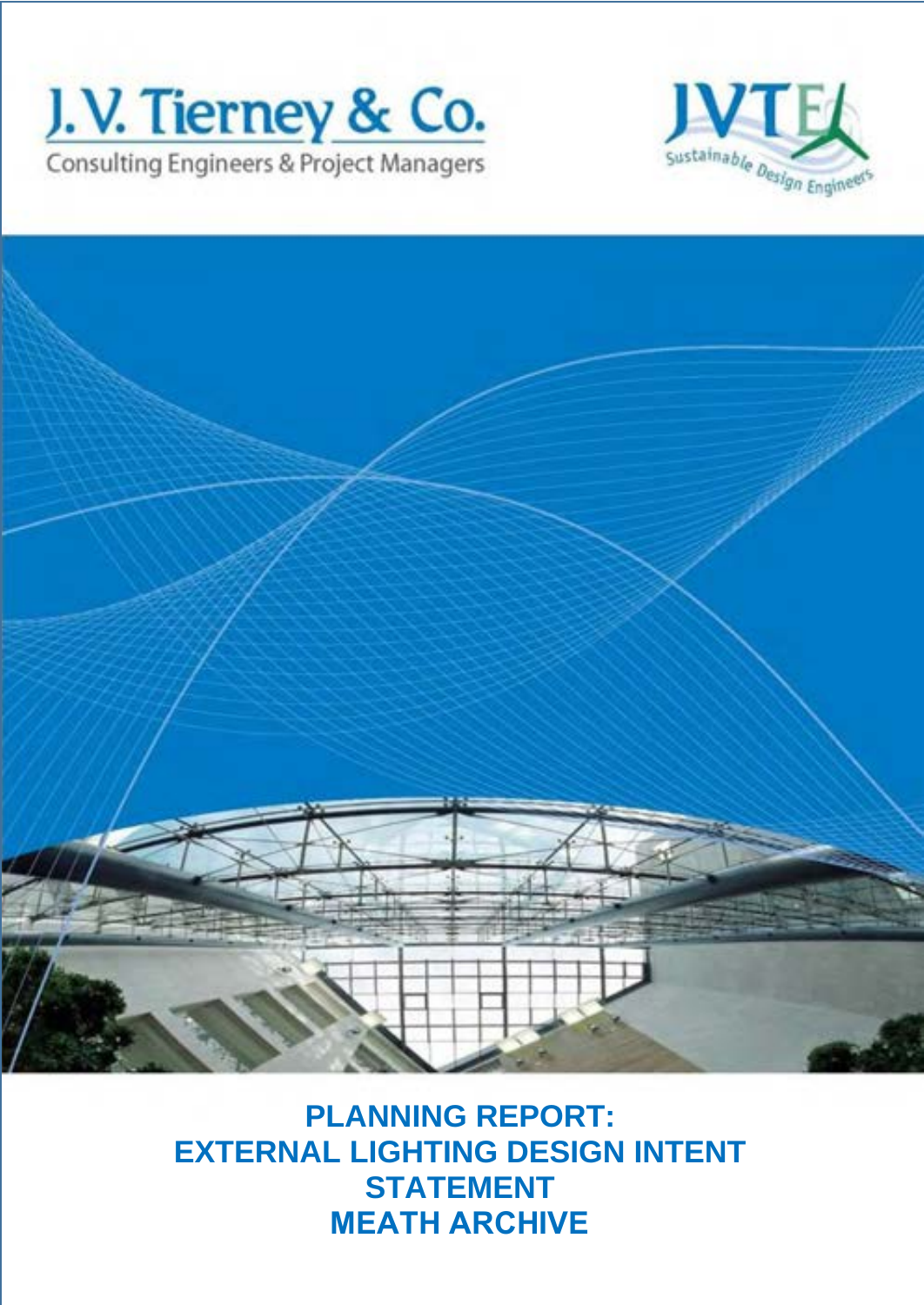





**PLANNING REPORT: EXTERNAL LIGHTING DESIGN INTENT STATEMENT MEATH ARCHIVE**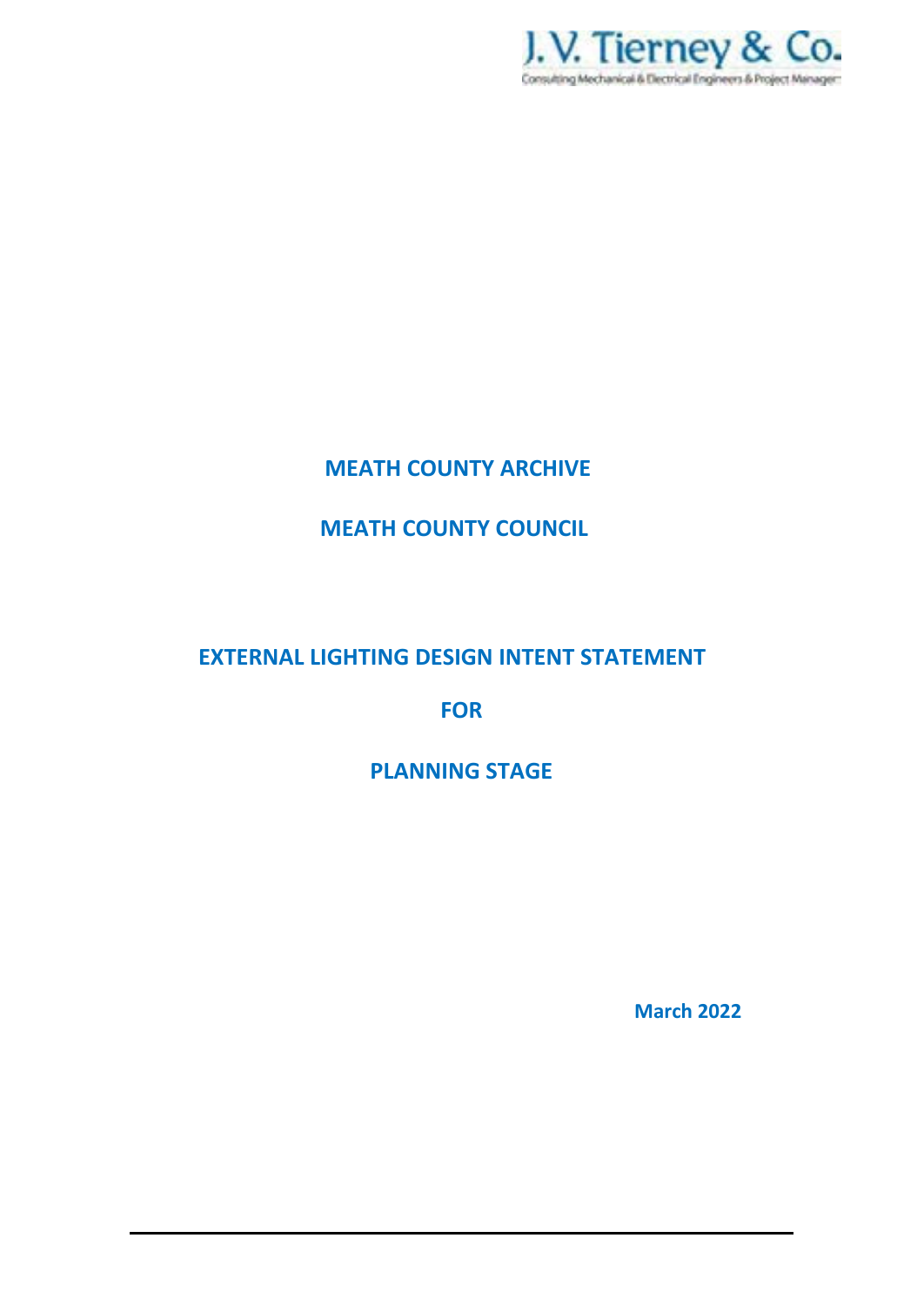

### **MEATH COUNTY ARCHIVE**

## **MEATH COUNTY COUNCIL**

## **EXTERNAL LIGHTING DESIGN INTENT STATEMENT**

**FOR** 

**PLANNING STAGE** 

**March 2022**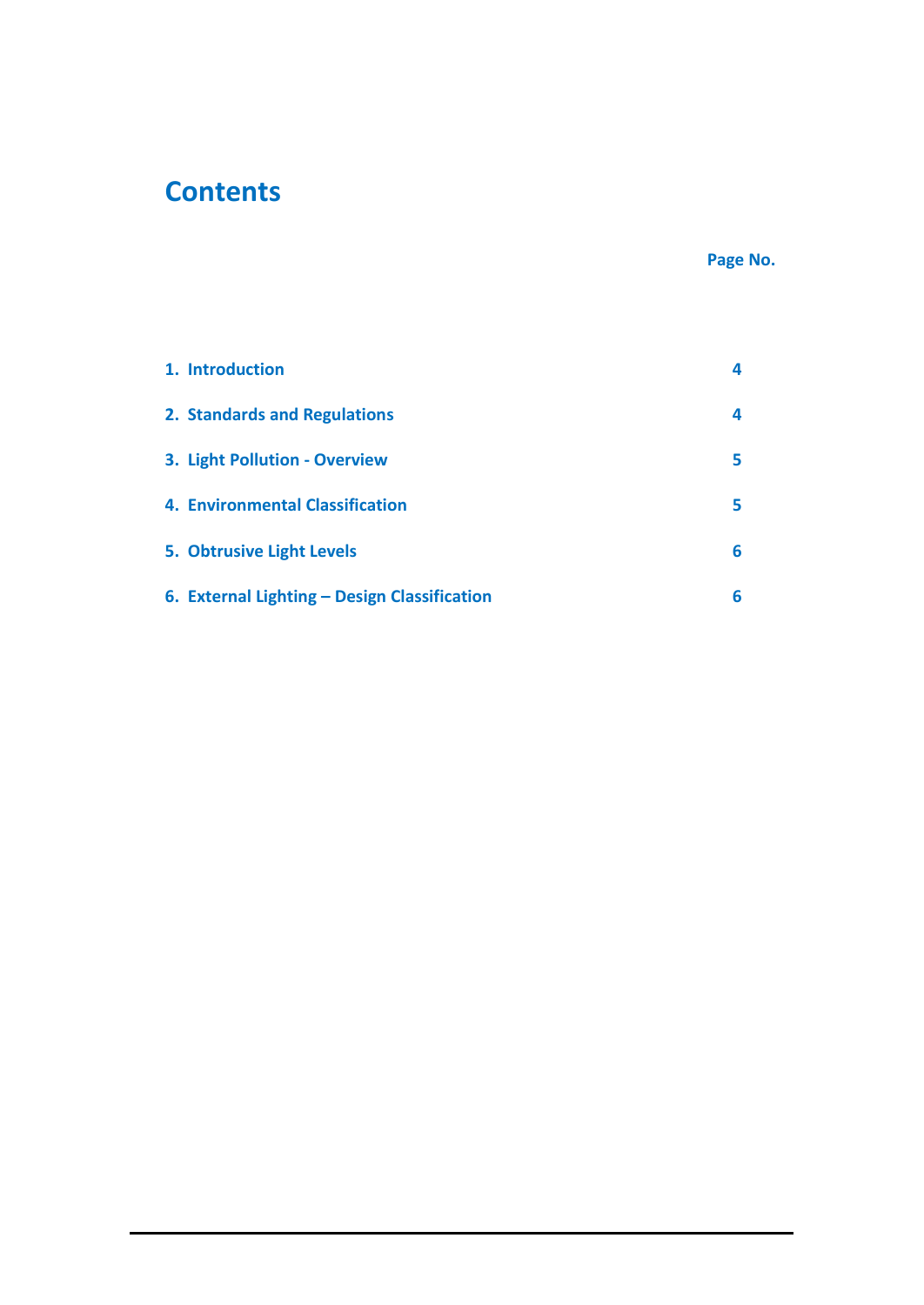# **Contents**

### **Page No.**

| 1. Introduction                              | 4 |
|----------------------------------------------|---|
| 2. Standards and Regulations                 | 4 |
| 3. Light Pollution - Overview                | 5 |
| 4. Environmental Classification              | 5 |
| 5. Obtrusive Light Levels                    | 6 |
| 6. External Lighting - Design Classification | 6 |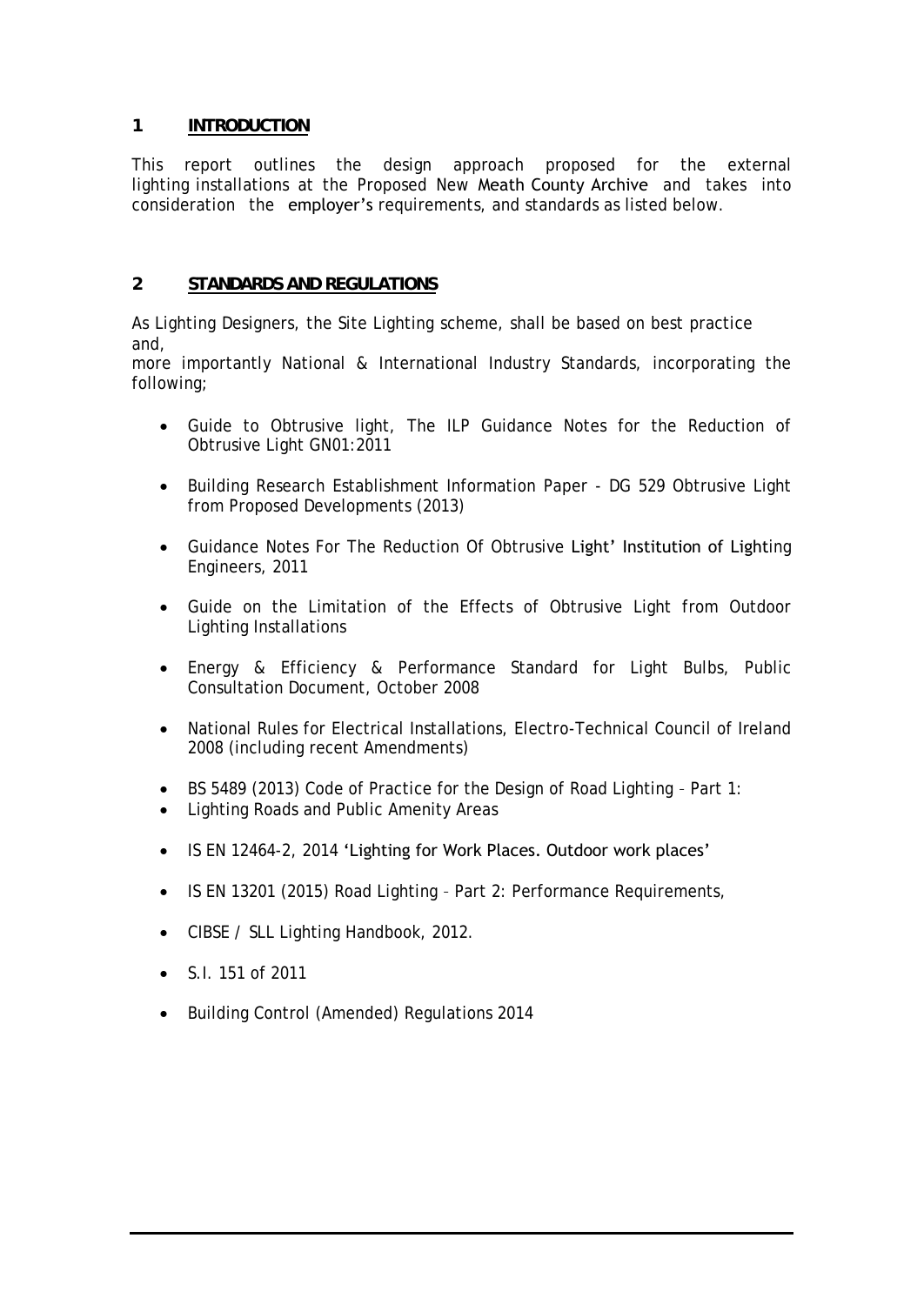#### **1 INTRODUCTION**

This report outlines the design approach proposed for the external lighting installations at the Proposed New Meath County Archive and takes into consideration the **employer's** requirements, and standards as listed below.

#### **2 STANDARDS AND REGULATIONS**

As Lighting Designers, the Site Lighting scheme, shall be based on best practice and,

more importantly National & International Industry Standards, incorporating the following;

- Guide to Obtrusive light, The ILP Guidance Notes for the Reduction of Obtrusive Light GN01:2011
- Building Research Establishment Information Paper DG 529 Obtrusive Light from Proposed Developments (2013)
- Guidance Notes For The Reduction Of Obtrusive Light' Institution of Lighting Engineers, 2011
- Guide on the Limitation of the Effects of Obtrusive Light from Outdoor Lighting Installations
- Energy & Efficiency & Performance Standard for Light Bulbs, Public Consultation Document, October 2008
- National Rules for Electrical Installations, Electro-Technical Council of Ireland 2008 (including recent Amendments)
- BS 5489 (2013) Code of Practice for the Design of Road Lighting Part 1:
- Lighting Roads and Public Amenity Areas
- IS EN 12464-2, 2014 'Lighting for Work Places. Outdoor work places'
- IS EN 13201 (2015) Road Lighting Part 2: Performance Requirements,
- CIBSE / SLL Lighting Handbook, 2012.
- S.I. 151 of 2011
- Building Control (Amended) Regulations 2014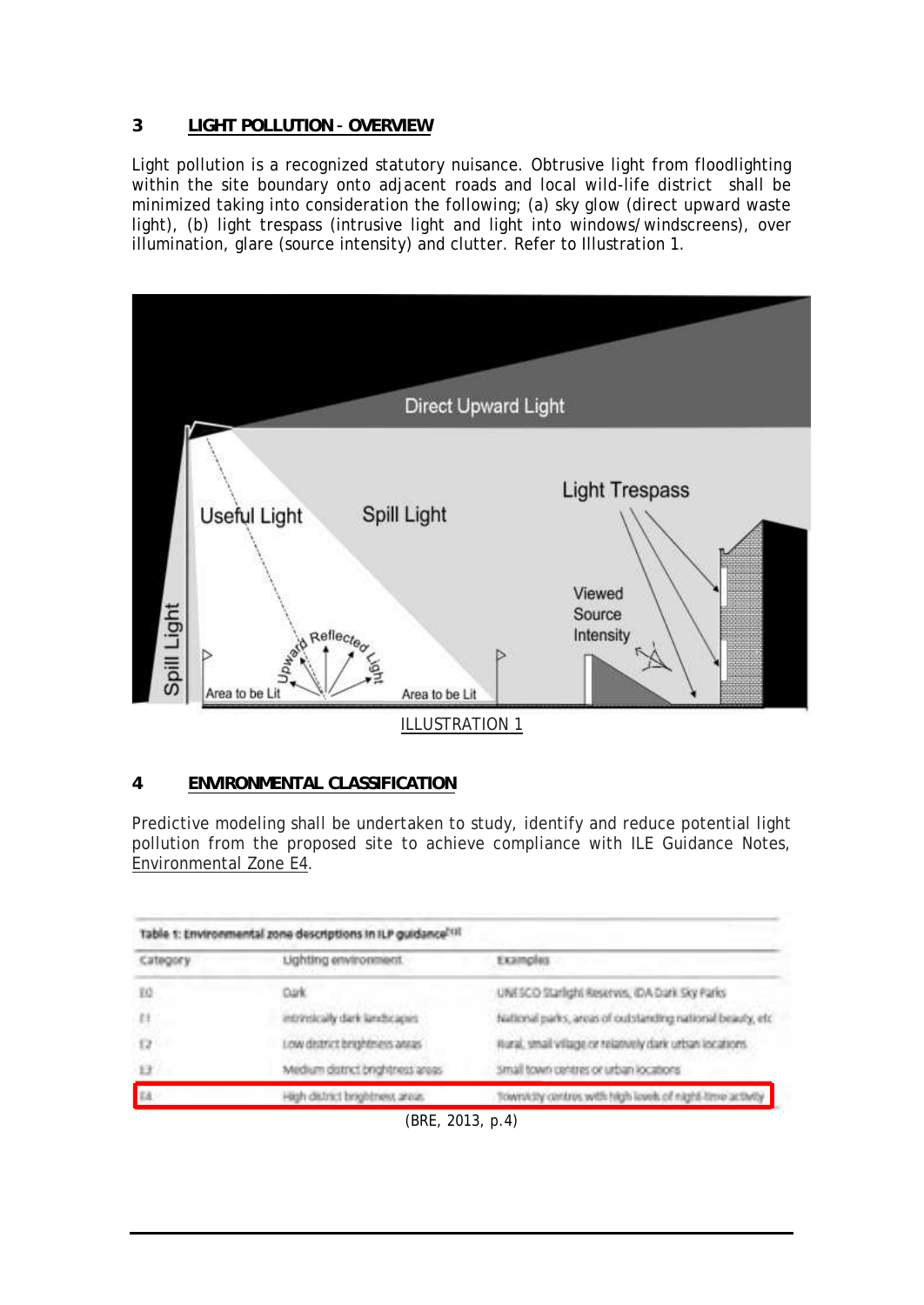#### **3 LIGHT POLLUTION – OVERVIEW**

Light pollution is a recognized statutory nuisance. Obtrusive light from floodlighting within the site boundary onto adjacent roads and local wild-life district shall be minimized taking into consideration the following; (a) sky glow (direct upward waste light), (b) light trespass (intrusive light and light into windows/windscreens), over illumination, glare (source intensity) and clutter. Refer to Illustration 1.



#### **4 ENVIRONMENTAL CLASSIFICATION**

Predictive modeling shall be undertaken to study, identify and reduce potential light pollution from the proposed site to achieve compliance with ILE Guidance Notes, Environmental Zone E4.

| Table 1: Environmental zone descriptions in ILP guidance <sup>ntit</sup> |                                  |                                                            |  |  |  |
|--------------------------------------------------------------------------|----------------------------------|------------------------------------------------------------|--|--|--|
| Category                                                                 | Lighting environment.            | Examples                                                   |  |  |  |
| E0                                                                       | Dark.                            | UNESCO Starfight Reserves, IDA Dark Sky Parks              |  |  |  |
| f                                                                        | intrinsically dark landscapes    | National parks, areas of outstanding national beauty, etc. |  |  |  |
| 12                                                                       | ow district brightniess annas    | itural, small village or relatively dark urban locations.  |  |  |  |
| H                                                                        | Medium district brightness areas | small town centres or urban locations                      |  |  |  |
|                                                                          | High district brophtness areas.  | Township centres with high loves of night-time activity    |  |  |  |

<sup>(</sup>BRE, 2013, p.4)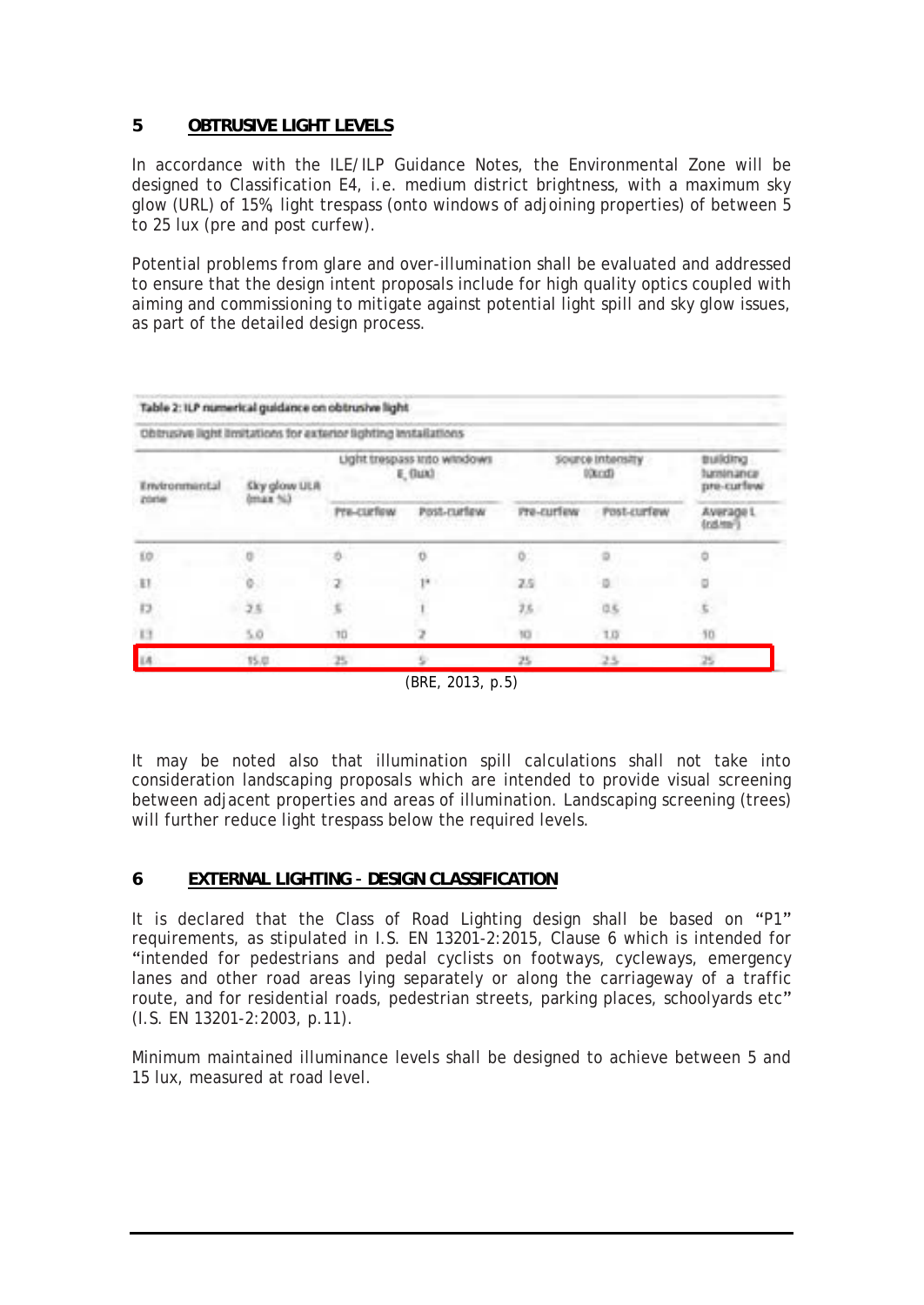#### **5 OBTRUSIVE LIGHT LEVELS**

In accordance with the ILE/ILP Guidance Notes, the Environmental Zone will be designed to Classification E4, i.e. medium district brightness, with a maximum sky glow (URL) of 15%, light trespass (onto windows of adjoining properties) of between 5 to 25 lux (pre and post curfew).

Potential problems from glare and over-illumination shall be evaluated and addressed to ensure that the design intent proposals include for high quality optics coupled with aiming and commissioning to mitigate against potential light spill and sky glow issues, as part of the detailed design process.

| Obtrusive light limitations for exterior lighting installations |                          |                                        |             |                            |             |                                            |  |  |
|-----------------------------------------------------------------|--------------------------|----------------------------------------|-------------|----------------------------|-------------|--------------------------------------------|--|--|
| Environmental                                                   | Sky glow ULA<br>dmax 563 | Light trespass into windows<br>E, Bax3 |             | Source Intensity<br>00xcd0 |             | <b>Building</b><br>tuminance<br>pre-curfew |  |  |
| ZOZIA                                                           |                          | Pre-curfow                             | Post-rurlew | Pre-curiew                 | Post-curfew | Average L<br>(ratme)                       |  |  |
| EO.                                                             |                          |                                        |             |                            |             |                                            |  |  |
| EI                                                              |                          |                                        | 14          | 25                         |             |                                            |  |  |
| Ð                                                               | 25                       | $\mathcal{C}$                          |             | 75                         | ūš.         |                                            |  |  |
| 13                                                              | 5.0                      | 10                                     |             | 10                         | 1.0         | 50                                         |  |  |
|                                                                 | 15.0                     | 25                                     |             | 25                         | 25          |                                            |  |  |
|                                                                 |                          |                                        |             |                            |             |                                            |  |  |

(BRE, 2013, p.5)

It may be noted also that illumination spill calculations shall not take into consideration landscaping proposals which are intended to provide visual screening between adjacent properties and areas of illumination. Landscaping screening (trees) will further reduce light trespass below the required levels.

#### **6 EXTERNAL LIGHTING – DESIGN CLASSIFICATION**

It is declared that the Class of Road Lighting design shall be based on "P1" requirements, as stipulated in I.S. EN 13201-2:2015, Clause 6 which is intended for "intended for pedestrians and pedal cyclists on footways, cycleways, emergency lanes and other road areas lying separately or along the carriageway of a traffic route, and for residential roads, pedestrian streets, parking places, schoolyards etc" (I.S. EN 13201-2:2003, p.11).

Minimum maintained illuminance levels shall be designed to achieve between 5 and 15 lux, measured at road level.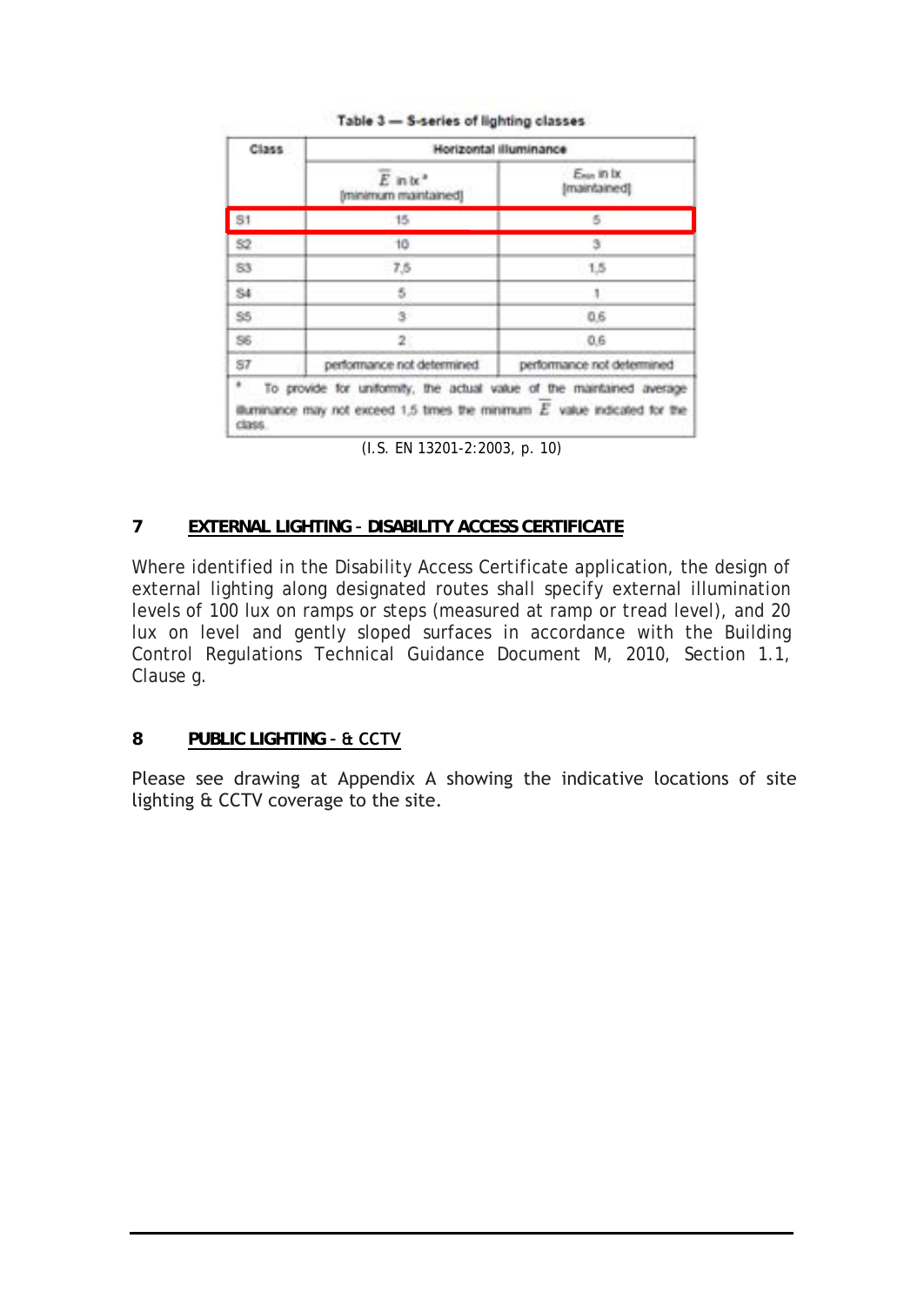| Class.       | Horizontal illuminance                                                                                                                                |                            |  |  |  |
|--------------|-------------------------------------------------------------------------------------------------------------------------------------------------------|----------------------------|--|--|--|
|              | $\overline{E}$ in $\mathbf{b}$ <sup>*</sup><br>Iminimum maintained!                                                                                   | Eran in bo<br>Imaintainedi |  |  |  |
| 81           | $-16$                                                                                                                                                 | 5                          |  |  |  |
| 52           | 10                                                                                                                                                    | 镇                          |  |  |  |
| 83           | 7,6                                                                                                                                                   | 1.5                        |  |  |  |
| \$4<br>5     |                                                                                                                                                       |                            |  |  |  |
| \$55<br>s.   |                                                                                                                                                       | 0.6                        |  |  |  |
| 56           | 2                                                                                                                                                     | 0.6                        |  |  |  |
| 87           | performance not determined                                                                                                                            | performance not determined |  |  |  |
| ă.<br>CERSS. | To provide for uniformity, the actual value of the maintained average<br>illuminance may not exceed 1,5 times the minimum $E$ value indicated for the |                            |  |  |  |

#### Table 3 - S-series of lighting classes

(I.S. EN 13201-2:2003, p. 10)

#### **7 EXTERNAL LIGHTING – DISABILITY ACCESS CERTIFICATE**

Where identified in the Disability Access Certificate application, the design of external lighting along designated routes shall specify external illumination levels of 100 lux on ramps or steps (measured at ramp or tread level), and 20 lux on level and gently sloped surfaces in accordance with the Building Control Regulations Technical Guidance Document M, 2010, Section 1.1, Clause g.

#### **8 PUBLIC LIGHTING – & CCTV**

Please see drawing at Appendix A showing the indicative locations of site lighting & CCTV coverage to the site.